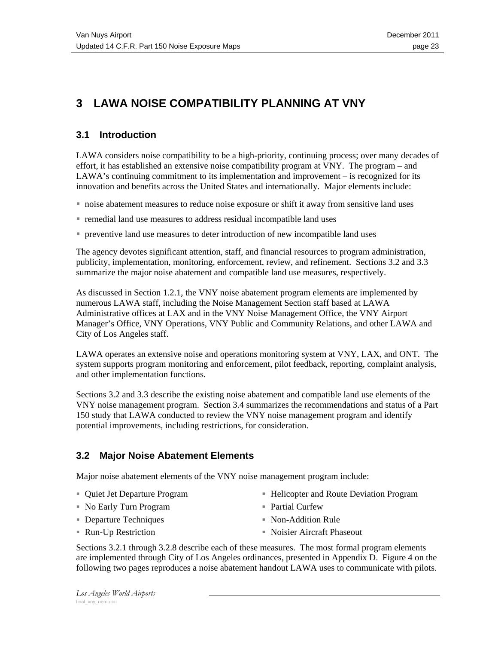# **3 LAWA NOISE COMPATIBILITY PLANNING AT VNY**

# **3.1 Introduction**

LAWA considers noise compatibility to be a high-priority, continuing process; over many decades of effort, it has established an extensive noise compatibility program at VNY. The program – and LAWA's continuing commitment to its implementation and improvement – is recognized for its innovation and benefits across the United States and internationally. Major elements include:

- noise abatement measures to reduce noise exposure or shift it away from sensitive land uses
- remedial land use measures to address residual incompatible land uses
- preventive land use measures to deter introduction of new incompatible land uses

The agency devotes significant attention, staff, and financial resources to program administration, publicity, implementation, monitoring, enforcement, review, and refinement. Sections 3.2 and 3.3 summarize the major noise abatement and compatible land use measures, respectively.

As discussed in Section 1.2.1, the VNY noise abatement program elements are implemented by numerous LAWA staff, including the Noise Management Section staff based at LAWA Administrative offices at LAX and in the VNY Noise Management Office, the VNY Airport Manager's Office, VNY Operations, VNY Public and Community Relations, and other LAWA and City of Los Angeles staff.

LAWA operates an extensive noise and operations monitoring system at VNY, LAX, and ONT. The system supports program monitoring and enforcement, pilot feedback, reporting, complaint analysis, and other implementation functions.

Sections 3.2 and 3.3 describe the existing noise abatement and compatible land use elements of the VNY noise management program. Section 3.4 summarizes the recommendations and status of a Part 150 study that LAWA conducted to review the VNY noise management program and identify potential improvements, including restrictions, for consideration.

# **3.2 Major Noise Abatement Elements**

Major noise abatement elements of the VNY noise management program include:

Quiet Jet Departure Program

■ Helicopter and Route Deviation Program

- No Early Turn Program
- Departure Techniques
- Run-Up Restriction
- Partial Curfew
- Non-Addition Rule
- Noisier Aircraft Phaseout

Sections 3.2.1 through 3.2.8 describe each of these measures. The most formal program elements are implemented through City of Los Angeles ordinances, presented in Appendix D. Figure 4 on the following two pages reproduces a noise abatement handout LAWA uses to communicate with pilots.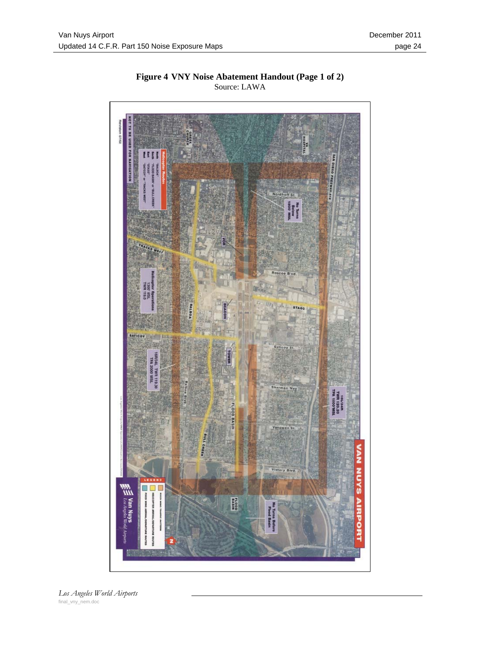

**Figure 4 VNY Noise Abatement Handout (Page 1 of 2)**  Source: LAWA

*Los Angeles World Airports* final\_vny\_nem.doc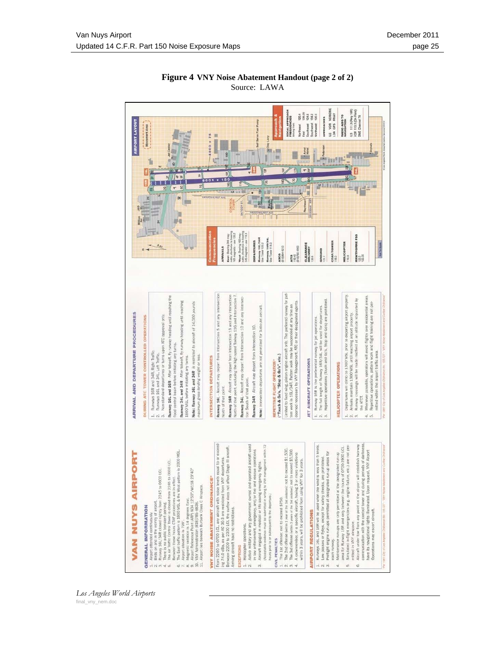

hours prior to or

Helicopter **SNONE** 

 $\stackrel{\rightharpoonup}{\sim}$ 

 $\omega$ 

 $0.91$ 

 $\vec{v}$ 

tow may

in VNY

 $4$  oi  $m$ 

### **Figure 4 VNY Noise Abatement Handout (page 2 of 2)**  Source: LAWA

*Los Angeles World Airports* final\_vny\_nem.doc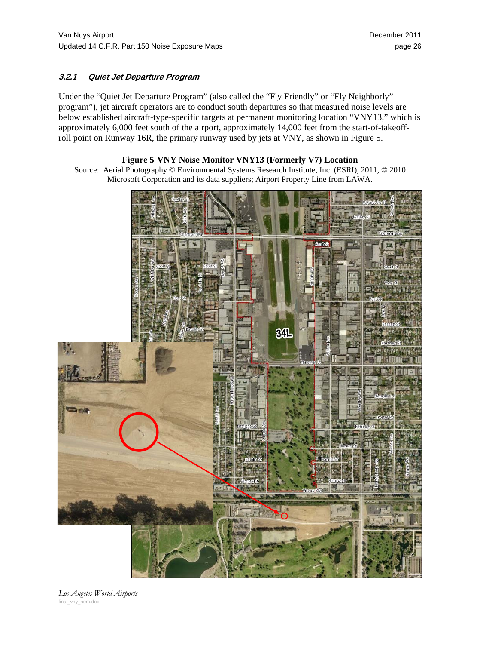## **3.2.1 Quiet Jet Departure Program**

Under the "Quiet Jet Departure Program" (also called the "Fly Friendly" or "Fly Neighborly" program"), jet aircraft operators are to conduct south departures so that measured noise levels are below established aircraft-type-specific targets at permanent monitoring location "VNY13," which is approximately 6,000 feet south of the airport, approximately 14,000 feet from the start-of-takeoffroll point on Runway 16R, the primary runway used by jets at VNY, as shown in Figure 5.

### **Figure 5 VNY Noise Monitor VNY13 (Formerly V7) Location**

Source: Aerial Photography © Environmental Systems Research Institute, Inc. (ESRI), 2011, © 2010 Microsoft Corporation and its data suppliers; Airport Property Line from LAWA.



*Los Angeles World Airports* final\_vny\_nem.doc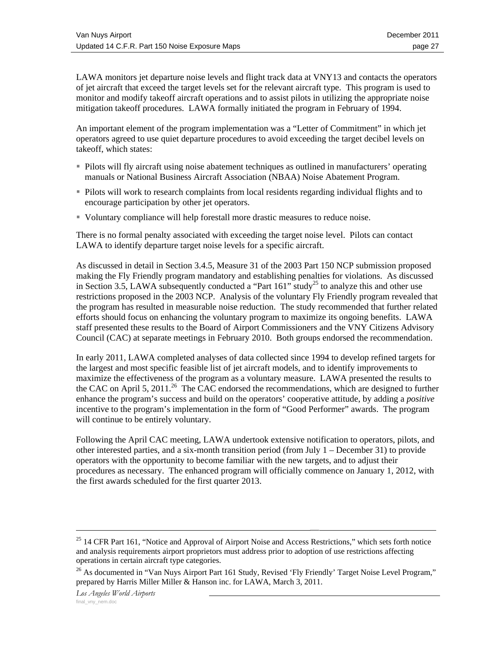LAWA monitors jet departure noise levels and flight track data at VNY13 and contacts the operators of jet aircraft that exceed the target levels set for the relevant aircraft type. This program is used to monitor and modify takeoff aircraft operations and to assist pilots in utilizing the appropriate noise mitigation takeoff procedures. LAWA formally initiated the program in February of 1994.

An important element of the program implementation was a "Letter of Commitment" in which jet operators agreed to use quiet departure procedures to avoid exceeding the target decibel levels on takeoff, which states:

- Pilots will fly aircraft using noise abatement techniques as outlined in manufacturers' operating manuals or National Business Aircraft Association (NBAA) Noise Abatement Program.
- Pilots will work to research complaints from local residents regarding individual flights and to encourage participation by other jet operators.
- Voluntary compliance will help forestall more drastic measures to reduce noise.

There is no formal penalty associated with exceeding the target noise level. Pilots can contact LAWA to identify departure target noise levels for a specific aircraft.

As discussed in detail in Section 3.4.5, Measure 31 of the 2003 Part 150 NCP submission proposed making the Fly Friendly program mandatory and establishing penalties for violations. As discussed in Section 3.5, LAWA subsequently conducted a "Part  $161$ " study<sup>25</sup> to analyze this and other use restrictions proposed in the 2003 NCP. Analysis of the voluntary Fly Friendly program revealed that the program has resulted in measurable noise reduction. The study recommended that further related efforts should focus on enhancing the voluntary program to maximize its ongoing benefits. LAWA staff presented these results to the Board of Airport Commissioners and the VNY Citizens Advisory Council (CAC) at separate meetings in February 2010. Both groups endorsed the recommendation.

In early 2011, LAWA completed analyses of data collected since 1994 to develop refined targets for the largest and most specific feasible list of jet aircraft models, and to identify improvements to maximize the effectiveness of the program as a voluntary measure. LAWA presented the results to the CAC on April 5, 2011.<sup>26</sup> The CAC endorsed the recommendations, which are designed to further enhance the program's success and build on the operators' cooperative attitude, by adding a *positive* incentive to the program's implementation in the form of "Good Performer" awards. The program will continue to be entirely voluntary.

Following the April CAC meeting, LAWA undertook extensive notification to operators, pilots, and other interested parties, and a six-month transition period (from July  $1 -$  December 31) to provide operators with the opportunity to become familiar with the new targets, and to adjust their procedures as necessary. The enhanced program will officially commence on January 1, 2012, with the first awards scheduled for the first quarter 2013.

<sup>&</sup>lt;sup>25</sup> 14 CFR Part 161, "Notice and Approval of Airport Noise and Access Restrictions," which sets forth notice and analysis requirements airport proprietors must address prior to adoption of use restrictions affecting operations in certain aircraft type categories.

<sup>&</sup>lt;sup>26</sup> As documented in "Van Nuys Airport Part 161 Study, Revised 'Fly Friendly' Target Noise Level Program," prepared by Harris Miller Miller & Hanson inc. for LAWA, March 3, 2011.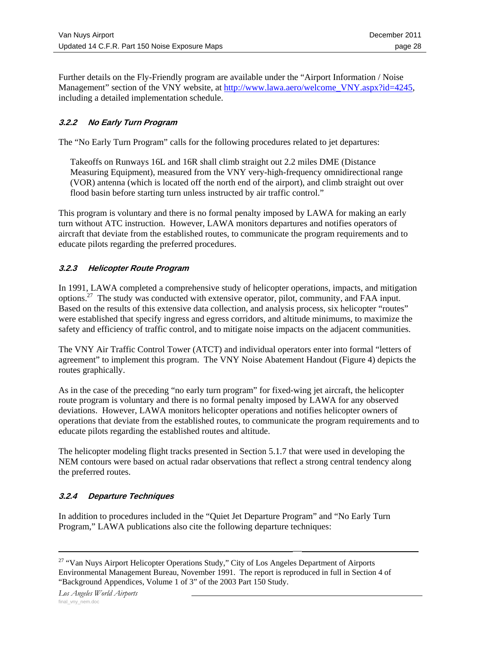Further details on the Fly-Friendly program are available under the "Airport Information / Noise Management" section of the VNY website, at http://www.lawa.aero/welcome\_VNY.aspx?id=4245, including a detailed implementation schedule.

# **3.2.2 No Early Turn Program**

The "No Early Turn Program" calls for the following procedures related to jet departures:

Takeoffs on Runways 16L and 16R shall climb straight out 2.2 miles DME (Distance Measuring Equipment), measured from the VNY very-high-frequency omnidirectional range (VOR) antenna (which is located off the north end of the airport), and climb straight out over flood basin before starting turn unless instructed by air traffic control."

This program is voluntary and there is no formal penalty imposed by LAWA for making an early turn without ATC instruction. However, LAWA monitors departures and notifies operators of aircraft that deviate from the established routes, to communicate the program requirements and to educate pilots regarding the preferred procedures.

# **3.2.3 Helicopter Route Program**

In 1991, LAWA completed a comprehensive study of helicopter operations, impacts, and mitigation options.27 The study was conducted with extensive operator, pilot, community, and FAA input. Based on the results of this extensive data collection, and analysis process, six helicopter "routes" were established that specify ingress and egress corridors, and altitude minimums, to maximize the safety and efficiency of traffic control, and to mitigate noise impacts on the adjacent communities.

The VNY Air Traffic Control Tower (ATCT) and individual operators enter into formal "letters of agreement" to implement this program. The VNY Noise Abatement Handout (Figure 4) depicts the routes graphically.

As in the case of the preceding "no early turn program" for fixed-wing jet aircraft, the helicopter route program is voluntary and there is no formal penalty imposed by LAWA for any observed deviations. However, LAWA monitors helicopter operations and notifies helicopter owners of operations that deviate from the established routes, to communicate the program requirements and to educate pilots regarding the established routes and altitude.

The helicopter modeling flight tracks presented in Section 5.1.7 that were used in developing the NEM contours were based on actual radar observations that reflect a strong central tendency along the preferred routes.

# **3.2.4 Departure Techniques**

In addition to procedures included in the "Quiet Jet Departure Program" and "No Early Turn Program," LAWA publications also cite the following departure techniques:

<sup>&</sup>lt;sup>27</sup> "Van Nuys Airport Helicopter Operations Study," City of Los Angeles Department of Airports Environmental Management Bureau, November 1991. The report is reproduced in full in Section 4 of "Background Appendices, Volume 1 of 3" of the 2003 Part 150 Study.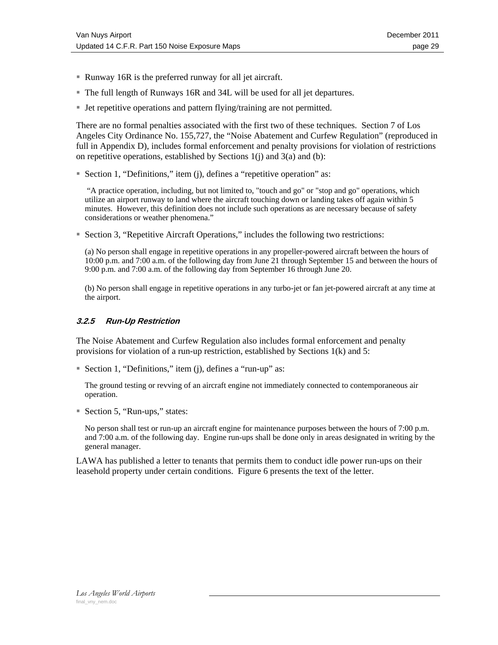- Runway 16R is the preferred runway for all jet aircraft.
- The full length of Runways 16R and 34L will be used for all jet departures.
- Jet repetitive operations and pattern flying/training are not permitted.

There are no formal penalties associated with the first two of these techniques. Section 7 of Los Angeles City Ordinance No. 155,727, the "Noise Abatement and Curfew Regulation" (reproduced in full in Appendix D), includes formal enforcement and penalty provisions for violation of restrictions on repetitive operations, established by Sections  $1(i)$  and  $3(a)$  and (b):

Section 1, "Definitions," item (j), defines a "repetitive operation" as:

 "A practice operation, including, but not limited to, "touch and go" or "stop and go" operations, which utilize an airport runway to land where the aircraft touching down or landing takes off again within 5 minutes. However, this definition does not include such operations as are necessary because of safety considerations or weather phenomena."

Section 3, "Repetitive Aircraft Operations," includes the following two restrictions:

(a) No person shall engage in repetitive operations in any propeller-powered aircraft between the hours of 10:00 p.m. and 7:00 a.m. of the following day from June 21 through September 15 and between the hours of 9:00 p.m. and 7:00 a.m. of the following day from September 16 through June 20.

(b) No person shall engage in repetitive operations in any turbo-jet or fan jet-powered aircraft at any time at the airport.

### **3.2.5 Run-Up Restriction**

The Noise Abatement and Curfew Regulation also includes formal enforcement and penalty provisions for violation of a run-up restriction, established by Sections 1(k) and 5:

Section 1, "Definitions," item (j), defines a "run-up" as:

The ground testing or revving of an aircraft engine not immediately connected to contemporaneous air operation.

■ Section 5, "Run-ups," states:

No person shall test or run-up an aircraft engine for maintenance purposes between the hours of 7:00 p.m. and 7:00 a.m. of the following day. Engine run-ups shall be done only in areas designated in writing by the general manager.

LAWA has published a letter to tenants that permits them to conduct idle power run-ups on their leasehold property under certain conditions. Figure 6 presents the text of the letter.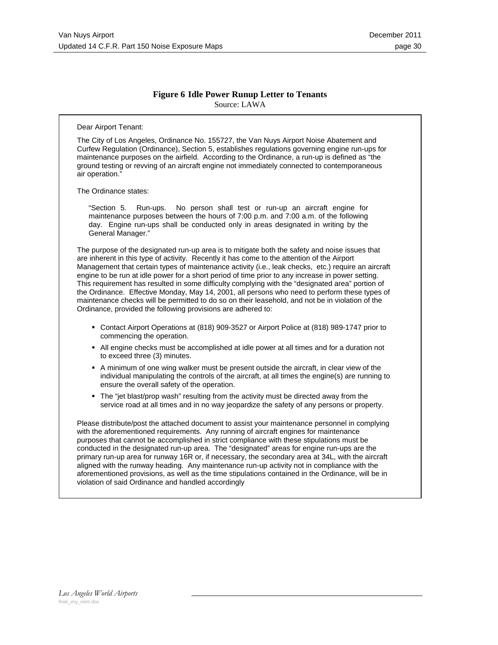### **Figure 6 Idle Power Runup Letter to Tenants**  Source: LAWA

#### Dear Airport Tenant:

The City of Los Angeles, Ordinance No. 155727, the Van Nuys Airport Noise Abatement and Curfew Regulation (Ordinance), Section 5, establishes regulations governing engine run-ups for maintenance purposes on the airfield. According to the Ordinance, a run-up is defined as "the ground testing or revving of an aircraft engine not immediately connected to contemporaneous air operation."

The Ordinance states:

"Section 5. Run-ups. No person shall test or run-up an aircraft engine for maintenance purposes between the hours of 7:00 p.m. and 7:00 a.m. of the following day. Engine run-ups shall be conducted only in areas designated in writing by the General Manager."

The purpose of the designated run-up area is to mitigate both the safety and noise issues that are inherent in this type of activity. Recently it has come to the attention of the Airport Management that certain types of maintenance activity (i.e., leak checks, etc.) require an aircraft engine to be run at idle power for a short period of time prior to any increase in power setting. This requirement has resulted in some difficulty complying with the "designated area" portion of the Ordinance. Effective Monday, May 14, 2001, all persons who need to perform these types of maintenance checks will be permitted to do so on their leasehold, and not be in violation of the Ordinance, provided the following provisions are adhered to:

- Contact Airport Operations at (818) 909-3527 or Airport Police at (818) 989-1747 prior to commencing the operation.
- All engine checks must be accomplished at idle power at all times and for a duration not to exceed three (3) minutes.
- A minimum of one wing walker must be present outside the aircraft, in clear view of the individual manipulating the controls of the aircraft, at all times the engine(s) are running to ensure the overall safety of the operation.
- The "jet blast/prop wash" resulting from the activity must be directed away from the service road at all times and in no way jeopardize the safety of any persons or property.

Please distribute/post the attached document to assist your maintenance personnel in complying with the aforementioned requirements. Any running of aircraft engines for maintenance purposes that cannot be accomplished in strict compliance with these stipulations must be conducted in the designated run-up area. The "designated" areas for engine run-ups are the primary run-up area for runway 16R or, if necessary, the secondary area at 34L, with the aircraft aligned with the runway heading. Any maintenance run-up activity not in compliance with the aforementioned provisions, as well as the time stipulations contained in the Ordinance, will be in violation of said Ordinance and handled accordingly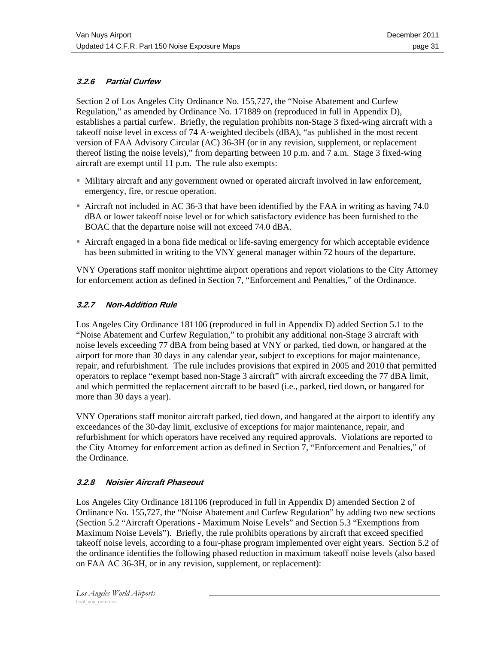# **3.2.6 Partial Curfew**

Section 2 of Los Angeles City Ordinance No. 155,727, the "Noise Abatement and Curfew Regulation," as amended by Ordinance No. 171889 on (reproduced in full in Appendix D), establishes a partial curfew. Briefly, the regulation prohibits non-Stage 3 fixed-wing aircraft with a takeoff noise level in excess of 74 A-weighted decibels (dBA), "as published in the most recent version of FAA Advisory Circular (AC) 36-3H (or in any revision, supplement, or replacement thereof listing the noise levels)," from departing between 10 p.m. and 7 a.m. Stage 3 fixed-wing aircraft are exempt until 11 p.m. The rule also exempts:

- Military aircraft and any government owned or operated aircraft involved in law enforcement, emergency, fire, or rescue operation.
- Aircraft not included in AC 36-3 that have been identified by the FAA in writing as having 74.0 dBA or lower takeoff noise level or for which satisfactory evidence has been furnished to the BOAC that the departure noise will not exceed 74.0 dBA.
- Aircraft engaged in a bona fide medical or life-saving emergency for which acceptable evidence has been submitted in writing to the VNY general manager within 72 hours of the departure.

VNY Operations staff monitor nighttime airport operations and report violations to the City Attorney for enforcement action as defined in Section 7, "Enforcement and Penalties," of the Ordinance.

# **3.2.7 Non-Addition Rule**

Los Angeles City Ordinance 181106 (reproduced in full in Appendix D) added Section 5.1 to the "Noise Abatement and Curfew Regulation," to prohibit any additional non-Stage 3 aircraft with noise levels exceeding 77 dBA from being based at VNY or parked, tied down, or hangared at the airport for more than 30 days in any calendar year, subject to exceptions for major maintenance, repair, and refurbishment. The rule includes provisions that expired in 2005 and 2010 that permitted operators to replace "exempt based non-Stage 3 aircraft" with aircraft exceeding the 77 dBA limit, and which permitted the replacement aircraft to be based (i.e., parked, tied down, or hangared for more than 30 days a year).

VNY Operations staff monitor aircraft parked, tied down, and hangared at the airport to identify any exceedances of the 30-day limit, exclusive of exceptions for major maintenance, repair, and refurbishment for which operators have received any required approvals. Violations are reported to the City Attorney for enforcement action as defined in Section 7, "Enforcement and Penalties," of the Ordinance.

### **3.2.8 Noisier Aircraft Phaseout**

Los Angeles City Ordinance 181106 (reproduced in full in Appendix D) amended Section 2 of Ordinance No. 155,727, the "Noise Abatement and Curfew Regulation" by adding two new sections (Section 5.2 "Aircraft Operations - Maximum Noise Levels" and Section 5.3 "Exemptions from Maximum Noise Levels"). Briefly, the rule prohibits operations by aircraft that exceed specified takeoff noise levels, according to a four-phase program implemented over eight years. Section 5.2 of the ordinance identifies the following phased reduction in maximum takeoff noise levels (also based on FAA AC 36-3H, or in any revision, supplement, or replacement):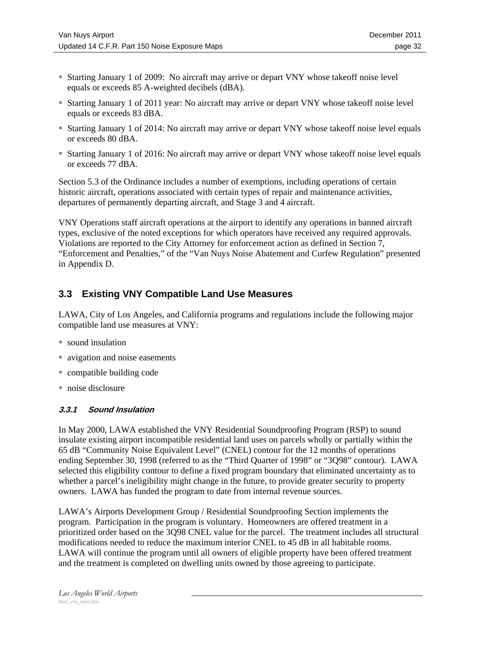- Starting January 1 of 2009: No aircraft may arrive or depart VNY whose takeoff noise level equals or exceeds 85 A-weighted decibels (dBA).
- Starting January 1 of 2011 year: No aircraft may arrive or depart VNY whose takeoff noise level equals or exceeds 83 dBA.
- Starting January 1 of 2014: No aircraft may arrive or depart VNY whose takeoff noise level equals or exceeds 80 dBA.
- Starting January 1 of 2016: No aircraft may arrive or depart VNY whose takeoff noise level equals or exceeds 77 dBA.

Section 5.3 of the Ordinance includes a number of exemptions, including operations of certain historic aircraft, operations associated with certain types of repair and maintenance activities, departures of permanently departing aircraft, and Stage 3 and 4 aircraft.

VNY Operations staff aircraft operations at the airport to identify any operations in banned aircraft types, exclusive of the noted exceptions for which operators have received any required approvals. Violations are reported to the City Attorney for enforcement action as defined in Section 7, "Enforcement and Penalties," of the "Van Nuys Noise Abatement and Curfew Regulation" presented in Appendix D.

# **3.3 Existing VNY Compatible Land Use Measures**

LAWA, City of Los Angeles, and California programs and regulations include the following major compatible land use measures at VNY:

- sound insulation
- vector and noise easements
- compatible building code
- noise disclosure

# **3.3.1 Sound Insulation**

In May 2000, LAWA established the VNY Residential Soundproofing Program (RSP) to sound insulate existing airport incompatible residential land uses on parcels wholly or partially within the 65 dB "Community Noise Equivalent Level" (CNEL) contour for the 12 months of operations ending September 30, 1998 (referred to as the "Third Quarter of 1998" or "3Q98" contour). LAWA selected this eligibility contour to define a fixed program boundary that eliminated uncertainty as to whether a parcel's ineligibility might change in the future, to provide greater security to property owners. LAWA has funded the program to date from internal revenue sources.

LAWA's Airports Development Group / Residential Soundproofing Section implements the program. Participation in the program is voluntary. Homeowners are offered treatment in a prioritized order based on the 3Q98 CNEL value for the parcel. The treatment includes all structural modifications needed to reduce the maximum interior CNEL to 45 dB in all habitable rooms. LAWA will continue the program until all owners of eligible property have been offered treatment and the treatment is completed on dwelling units owned by those agreeing to participate.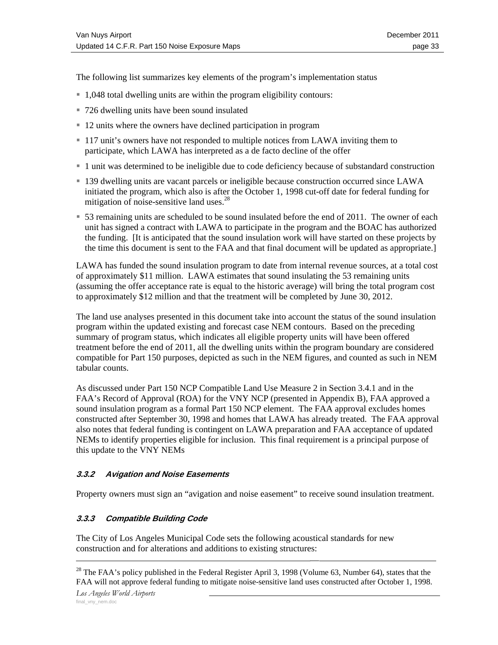The following list summarizes key elements of the program's implementation status

- 1,048 total dwelling units are within the program eligibility contours:
- 726 dwelling units have been sound insulated
- 12 units where the owners have declined participation in program
- 117 unit's owners have not responded to multiple notices from LAWA inviting them to participate, which LAWA has interpreted as a de facto decline of the offer
- 1 unit was determined to be ineligible due to code deficiency because of substandard construction
- 139 dwelling units are vacant parcels or ineligible because construction occurred since LAWA initiated the program, which also is after the October 1, 1998 cut-off date for federal funding for mitigation of noise-sensitive land uses. $^{28}$
- 53 remaining units are scheduled to be sound insulated before the end of 2011. The owner of each unit has signed a contract with LAWA to participate in the program and the BOAC has authorized the funding. [It is anticipated that the sound insulation work will have started on these projects by the time this document is sent to the FAA and that final document will be updated as appropriate.]

LAWA has funded the sound insulation program to date from internal revenue sources, at a total cost of approximately \$11 million. LAWA estimates that sound insulating the 53 remaining units (assuming the offer acceptance rate is equal to the historic average) will bring the total program cost to approximately \$12 million and that the treatment will be completed by June 30, 2012.

The land use analyses presented in this document take into account the status of the sound insulation program within the updated existing and forecast case NEM contours. Based on the preceding summary of program status, which indicates all eligible property units will have been offered treatment before the end of 2011, all the dwelling units within the program boundary are considered compatible for Part 150 purposes, depicted as such in the NEM figures, and counted as such in NEM tabular counts.

As discussed under Part 150 NCP Compatible Land Use Measure 2 in Section 3.4.1 and in the FAA's Record of Approval (ROA) for the VNY NCP (presented in Appendix B), FAA approved a sound insulation program as a formal Part 150 NCP element. The FAA approval excludes homes constructed after September 30, 1998 and homes that LAWA has already treated. The FAA approval also notes that federal funding is contingent on LAWA preparation and FAA acceptance of updated NEMs to identify properties eligible for inclusion. This final requirement is a principal purpose of this update to the VNY NEMs

## **3.3.2 Avigation and Noise Easements**

Property owners must sign an "avigation and noise easement" to receive sound insulation treatment.

### **3.3.3 Compatible Building Code**

The City of Los Angeles Municipal Code sets the following acoustical standards for new construction and for alterations and additions to existing structures:

<sup>&</sup>lt;sup>28</sup> The FAA's policy published in the Federal Register April 3, 1998 (Volume 63, Number 64), states that the FAA will not approve federal funding to mitigate noise-sensitive land uses constructed after October 1, 1998.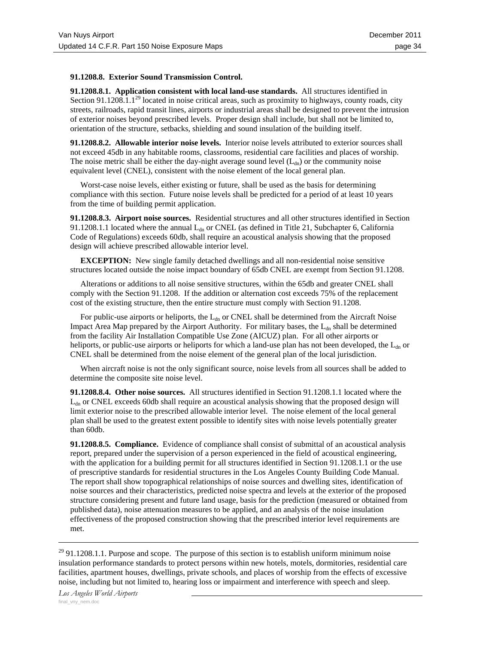#### **91.1208.8. Exterior Sound Transmission Control.**

**91.1208.8.1. Application consistent with local land-use standards.** All structures identified in Section 91.1208.1.1<sup>29</sup> located in noise critical areas, such as proximity to highways, county roads, city streets, railroads, rapid transit lines, airports or industrial areas shall be designed to prevent the intrusion of exterior noises beyond prescribed levels. Proper design shall include, but shall not be limited to, orientation of the structure, setbacks, shielding and sound insulation of the building itself.

**91.1208.8.2. Allowable interior noise levels.** Interior noise levels attributed to exterior sources shall not exceed 45db in any habitable rooms, classrooms, residential care facilities and places of worship. The noise metric shall be either the day-night average sound level  $(L_{dn})$  or the community noise equivalent level (CNEL), consistent with the noise element of the local general plan.

 Worst-case noise levels, either existing or future, shall be used as the basis for determining compliance with this section. Future noise levels shall be predicted for a period of at least 10 years from the time of building permit application.

**91.1208.8.3. Airport noise sources.** Residential structures and all other structures identified in Section 91.1208.1.1 located where the annual  $L_{dn}$  or CNEL (as defined in Title 21, Subchapter 6, California Code of Regulations) exceeds 60db, shall require an acoustical analysis showing that the proposed design will achieve prescribed allowable interior level.

**EXCEPTION:** New single family detached dwellings and all non-residential noise sensitive structures located outside the noise impact boundary of 65db CNEL are exempt from Section 91.1208.

 Alterations or additions to all noise sensitive structures, within the 65db and greater CNEL shall comply with the Section 91.1208. If the addition or alternation cost exceeds 75% of the replacement cost of the existing structure, then the entire structure must comply with Section 91.1208.

For public-use airports or heliports, the L<sub>dn</sub> or CNEL shall be determined from the Aircraft Noise Impact Area Map prepared by the Airport Authority. For military bases, the  $L_{dn}$  shall be determined from the facility Air Installation Compatible Use Zone (AICUZ) plan. For all other airports or heliports, or public-use airports or heliports for which a land-use plan has not been developed, the L<sub>dn</sub> or CNEL shall be determined from the noise element of the general plan of the local jurisdiction.

 When aircraft noise is not the only significant source, noise levels from all sources shall be added to determine the composite site noise level.

**91.1208.8.4. Other noise sources.** All structures identified in Section 91.1208.1.1 located where the  $L<sub>dn</sub>$  or CNEL exceeds 60db shall require an acoustical analysis showing that the proposed design will limit exterior noise to the prescribed allowable interior level. The noise element of the local general plan shall be used to the greatest extent possible to identify sites with noise levels potentially greater than 60db.

**91.1208.8.5. Compliance.** Evidence of compliance shall consist of submittal of an acoustical analysis report, prepared under the supervision of a person experienced in the field of acoustical engineering, with the application for a building permit for all structures identified in Section 91.1208.1.1 or the use of prescriptive standards for residential structures in the Los Angeles County Building Code Manual. The report shall show topographical relationships of noise sources and dwelling sites, identification of noise sources and their characteristics, predicted noise spectra and levels at the exterior of the proposed structure considering present and future land usage, basis for the prediction (measured or obtained from published data), noise attenuation measures to be applied, and an analysis of the noise insulation effectiveness of the proposed construction showing that the prescribed interior level requirements are met.

 $29$  91.1208.1.1. Purpose and scope. The purpose of this section is to establish uniform minimum noise insulation performance standards to protect persons within new hotels, motels, dormitories, residential care facilities, apartment houses, dwellings, private schools, and places of worship from the effects of excessive noise, including but not limited to, hearing loss or impairment and interference with speech and sleep.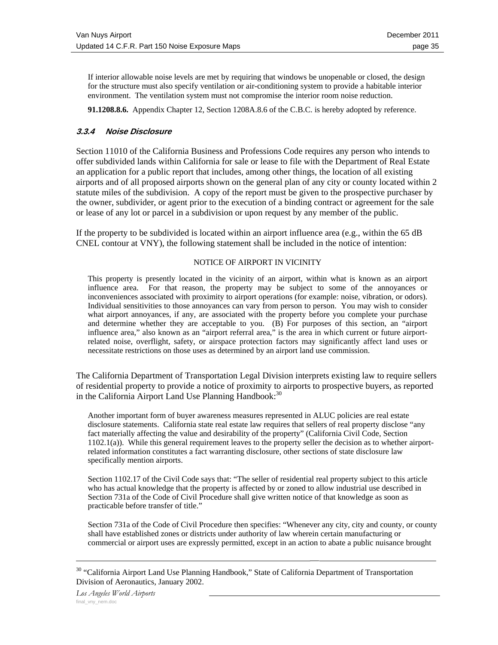If interior allowable noise levels are met by requiring that windows be unopenable or closed, the design for the structure must also specify ventilation or air-conditioning system to provide a habitable interior environment. The ventilation system must not compromise the interior room noise reduction.

**91.1208.8.6.** Appendix Chapter 12, Section 1208A.8.6 of the C.B.C. is hereby adopted by reference.

### **3.3.4 Noise Disclosure**

Section 11010 of the California Business and Professions Code requires any person who intends to offer subdivided lands within California for sale or lease to file with the Department of Real Estate an application for a public report that includes, among other things, the location of all existing airports and of all proposed airports shown on the general plan of any city or county located within 2 statute miles of the subdivision. A copy of the report must be given to the prospective purchaser by the owner, subdivider, or agent prior to the execution of a binding contract or agreement for the sale or lease of any lot or parcel in a subdivision or upon request by any member of the public.

If the property to be subdivided is located within an airport influence area (e.g., within the 65 dB CNEL contour at VNY), the following statement shall be included in the notice of intention:

#### NOTICE OF AIRPORT IN VICINITY

This property is presently located in the vicinity of an airport, within what is known as an airport influence area. For that reason, the property may be subject to some of the annoyances or inconveniences associated with proximity to airport operations (for example: noise, vibration, or odors). Individual sensitivities to those annoyances can vary from person to person. You may wish to consider what airport annoyances, if any, are associated with the property before you complete your purchase and determine whether they are acceptable to you. (B) For purposes of this section, an "airport influence area," also known as an "airport referral area," is the area in which current or future airportrelated noise, overflight, safety, or airspace protection factors may significantly affect land uses or necessitate restrictions on those uses as determined by an airport land use commission.

The California Department of Transportation Legal Division interprets existing law to require sellers of residential property to provide a notice of proximity to airports to prospective buyers, as reported in the California Airport Land Use Planning Handbook:<sup>30</sup>

Another important form of buyer awareness measures represented in ALUC policies are real estate disclosure statements. California state real estate law requires that sellers of real property disclose "any fact materially affecting the value and desirability of the property" (California Civil Code, Section 1102.1(a)). While this general requirement leaves to the property seller the decision as to whether airportrelated information constitutes a fact warranting disclosure, other sections of state disclosure law specifically mention airports.

Section 1102.17 of the Civil Code says that: "The seller of residential real property subject to this article who has actual knowledge that the property is affected by or zoned to allow industrial use described in Section 731a of the Code of Civil Procedure shall give written notice of that knowledge as soon as practicable before transfer of title."

Section 731a of the Code of Civil Procedure then specifies: "Whenever any city, city and county, or county shall have established zones or districts under authority of law wherein certain manufacturing or commercial or airport uses are expressly permitted, except in an action to abate a public nuisance brought

<sup>&</sup>lt;sup>30</sup> "California Airport Land Use Planning Handbook," State of California Department of Transportation Division of Aeronautics, January 2002.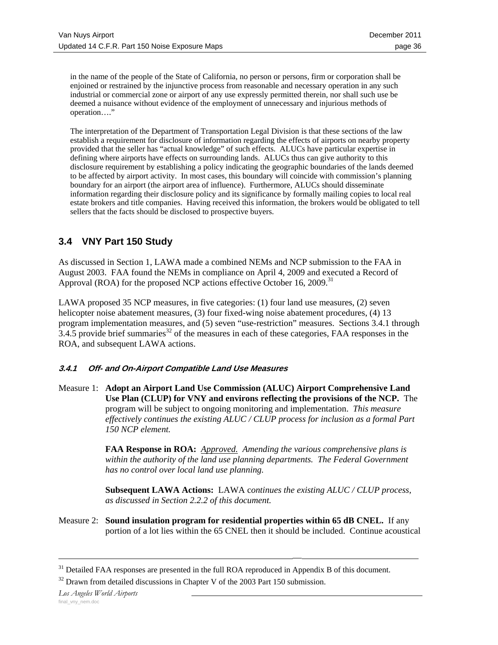in the name of the people of the State of California, no person or persons, firm or corporation shall be enjoined or restrained by the injunctive process from reasonable and necessary operation in any such industrial or commercial zone or airport of any use expressly permitted therein, nor shall such use be deemed a nuisance without evidence of the employment of unnecessary and injurious methods of operation…."

The interpretation of the Department of Transportation Legal Division is that these sections of the law establish a requirement for disclosure of information regarding the effects of airports on nearby property provided that the seller has "actual knowledge" of such effects. ALUCs have particular expertise in defining where airports have effects on surrounding lands. ALUCs thus can give authority to this disclosure requirement by establishing a policy indicating the geographic boundaries of the lands deemed to be affected by airport activity. In most cases, this boundary will coincide with commission's planning boundary for an airport (the airport area of influence). Furthermore, ALUCs should disseminate information regarding their disclosure policy and its significance by formally mailing copies to local real estate brokers and title companies. Having received this information, the brokers would be obligated to tell sellers that the facts should be disclosed to prospective buyers.

# **3.4 VNY Part 150 Study**

As discussed in Section 1, LAWA made a combined NEMs and NCP submission to the FAA in August 2003. FAA found the NEMs in compliance on April 4, 2009 and executed a Record of Approval (ROA) for the proposed NCP actions effective October 16, 2009.<sup>31</sup>

LAWA proposed 35 NCP measures, in five categories: (1) four land use measures, (2) seven helicopter noise abatement measures, (3) four fixed-wing noise abatement procedures, (4) 13 program implementation measures, and (5) seven "use-restriction" measures. Sections 3.4.1 through  $3.4.5$  provide brief summaries<sup>32</sup> of the measures in each of these categories, FAA responses in the ROA, and subsequent LAWA actions.

### **3.4.1 Off- and On-Airport Compatible Land Use Measures**

Measure 1: **Adopt an Airport Land Use Commission (ALUC) Airport Comprehensive Land Use Plan (CLUP) for VNY and environs reflecting the provisions of the NCP.** The program will be subject to ongoing monitoring and implementation. *This measure effectively continues the existing ALUC / CLUP process for inclusion as a formal Part 150 NCP element.* 

> **FAA Response in ROA:** *Approved. Amending the various comprehensive plans is within the authority of the land use planning departments. The Federal Government has no control over local land use planning.*

> **Subsequent LAWA Actions:** LAWA c*ontinues the existing ALUC / CLUP process, as discussed in Section 2.2.2 of this document.*

Measure 2: **Sound insulation program for residential properties within 65 dB CNEL.** If any portion of a lot lies within the 65 CNEL then it should be included. Continue acoustical

<sup>&</sup>lt;sup>31</sup> Detailed FAA responses are presented in the full ROA reproduced in Appendix B of this document.

 $32$  Drawn from detailed discussions in Chapter V of the 2003 Part 150 submission.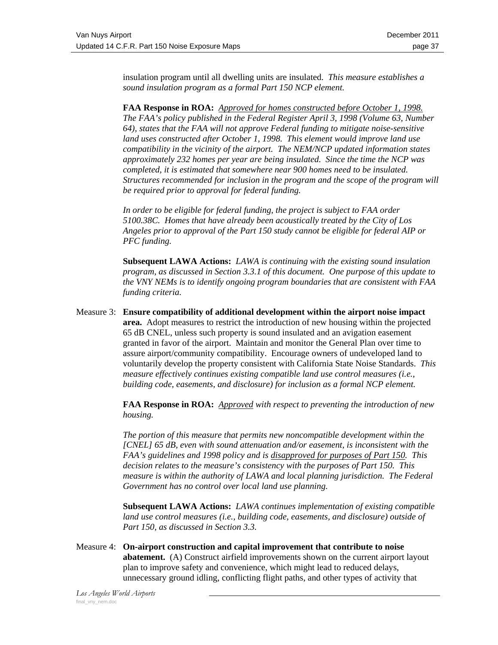insulation program until all dwelling units are insulated. *This measure establishes a sound insulation program as a formal Part 150 NCP element.* 

**FAA Response in ROA:** *Approved for homes constructed before October 1, 1998. The FAA's policy published in the Federal Register April 3, 1998 (Volume 63, Number 64), states that the FAA will not approve Federal funding to mitigate noise-sensitive land uses constructed after October 1, 1998. This element would improve land use compatibility in the vicinity of the airport. The NEM/NCP updated information states approximately 232 homes per year are being insulated. Since the time the NCP was completed, it is estimated that somewhere near 900 homes need to be insulated. Structures recommended for inclusion in the program and the scope of the program will be required prior to approval for federal funding.* 

*In order to be eligible for federal funding, the project is subject to FAA order 5100.38C. Homes that have already been acoustically treated by the City of Los Angeles prior to approval of the Part 150 study cannot be eligible for federal AIP or PFC funding.* 

**Subsequent LAWA Actions:** *LAWA is continuing with the existing sound insulation program, as discussed in Section 3.3.1 of this document. One purpose of this update to the VNY NEMs is to identify ongoing program boundaries that are consistent with FAA funding criteria.*

Measure 3: **Ensure compatibility of additional development within the airport noise impact area.** Adopt measures to restrict the introduction of new housing within the projected 65 dB CNEL, unless such property is sound insulated and an avigation easement granted in favor of the airport. Maintain and monitor the General Plan over time to assure airport/community compatibility. Encourage owners of undeveloped land to voluntarily develop the property consistent with California State Noise Standards. *This measure effectively continues existing compatible land use control measures (i.e., building code, easements, and disclosure) for inclusion as a formal NCP element.* 

> **FAA Response in ROA:** *Approved with respect to preventing the introduction of new housing.*

> *The portion of this measure that permits new noncompatible development within the [CNEL] 65 dB, even with sound attenuation and/or easement, is inconsistent with the FAA's guidelines and 1998 policy and is disapproved for purposes of Part 150. This decision relates to the measure's consistency with the purposes of Part 150. This measure is within the authority of LAWA and local planning jurisdiction. The Federal Government has no control over local land use planning.*

> **Subsequent LAWA Actions:** *LAWA continues implementation of existing compatible land use control measures (i.e., building code, easements, and disclosure) outside of Part 150, as discussed in Section 3.3.*

Measure 4: **On-airport construction and capital improvement that contribute to noise abatement.** (A) Construct airfield improvements shown on the current airport layout plan to improve safety and convenience, which might lead to reduced delays, unnecessary ground idling, conflicting flight paths, and other types of activity that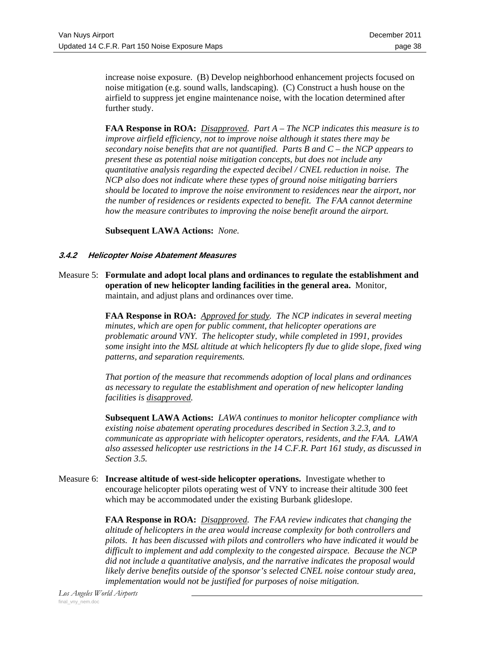increase noise exposure. (B) Develop neighborhood enhancement projects focused on noise mitigation (e.g. sound walls, landscaping). (C) Construct a hush house on the airfield to suppress jet engine maintenance noise, with the location determined after further study.

**FAA Response in ROA:** *Disapproved. Part A – The NCP indicates this measure is to improve airfield efficiency, not to improve noise although it states there may be secondary noise benefits that are not quantified. Parts B and C – the NCP appears to present these as potential noise mitigation concepts, but does not include any quantitative analysis regarding the expected decibel / CNEL reduction in noise. The NCP also does not indicate where these types of ground noise mitigating barriers should be located to improve the noise environment to residences near the airport, nor the number of residences or residents expected to benefit. The FAA cannot determine how the measure contributes to improving the noise benefit around the airport.*

**Subsequent LAWA Actions:** *None.*

### **3.4.2 Helicopter Noise Abatement Measures**

Measure 5: **Formulate and adopt local plans and ordinances to regulate the establishment and operation of new helicopter landing facilities in the general area.** Monitor, maintain, and adjust plans and ordinances over time.

> **FAA Response in ROA:** *Approved for study. The NCP indicates in several meeting minutes, which are open for public comment, that helicopter operations are problematic around VNY. The helicopter study, while completed in 1991, provides some insight into the MSL altitude at which helicopters fly due to glide slope, fixed wing patterns, and separation requirements.*

*That portion of the measure that recommends adoption of local plans and ordinances as necessary to regulate the establishment and operation of new helicopter landing facilities is disapproved.* 

**Subsequent LAWA Actions:** *LAWA continues to monitor helicopter compliance with existing noise abatement operating procedures described in Section 3.2.3, and to communicate as appropriate with helicopter operators, residents, and the FAA. LAWA also assessed helicopter use restrictions in the 14 C.F.R. Part 161 study, as discussed in Section 3.5.*

Measure 6: **Increase altitude of west-side helicopter operations.** Investigate whether to encourage helicopter pilots operating west of VNY to increase their altitude 300 feet which may be accommodated under the existing Burbank glideslope.

> **FAA Response in ROA:** *Disapproved. The FAA review indicates that changing the altitude of helicopters in the area would increase complexity for both controllers and pilots. It has been discussed with pilots and controllers who have indicated it would be difficult to implement and add complexity to the congested airspace. Because the NCP did not include a quantitative analysis, and the narrative indicates the proposal would likely derive benefits outside of the sponsor's selected CNEL noise contour study area, implementation would not be justified for purposes of noise mitigation.*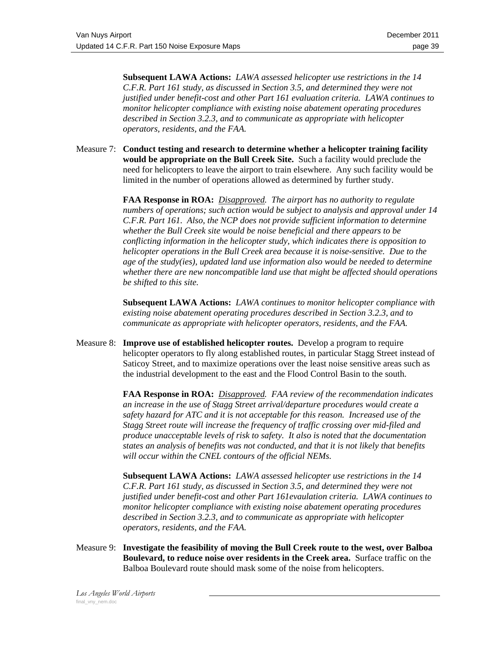**Subsequent LAWA Actions:** *LAWA assessed helicopter use restrictions in the 14 C.F.R. Part 161 study, as discussed in Section 3.5, and determined they were not justified under benefit-cost and other Part 161 evaluation criteria. LAWA continues to monitor helicopter compliance with existing noise abatement operating procedures described in Section 3.2.3, and to communicate as appropriate with helicopter operators, residents, and the FAA.*

Measure 7: **Conduct testing and research to determine whether a helicopter training facility would be appropriate on the Bull Creek Site.** Such a facility would preclude the need for helicopters to leave the airport to train elsewhere. Any such facility would be limited in the number of operations allowed as determined by further study.

> **FAA Response in ROA:** *Disapproved. The airport has no authority to regulate numbers of operations; such action would be subject to analysis and approval under 14 C.F.R. Part 161. Also, the NCP does not provide sufficient information to determine whether the Bull Creek site would be noise beneficial and there appears to be conflicting information in the helicopter study, which indicates there is opposition to helicopter operations in the Bull Creek area because it is noise-sensitive. Due to the age of the study(ies), updated land use information also would be needed to determine whether there are new noncompatible land use that might be affected should operations be shifted to this site.*

> **Subsequent LAWA Actions:** *LAWA continues to monitor helicopter compliance with existing noise abatement operating procedures described in Section 3.2.3, and to communicate as appropriate with helicopter operators, residents, and the FAA.*

Measure 8: **Improve use of established helicopter routes.** Develop a program to require helicopter operators to fly along established routes, in particular Stagg Street instead of Saticoy Street, and to maximize operations over the least noise sensitive areas such as the industrial development to the east and the Flood Control Basin to the south.

> **FAA Response in ROA:** *Disapproved. FAA review of the recommendation indicates an increase in the use of Stagg Street arrival/departure procedures would create a safety hazard for ATC and it is not acceptable for this reason. Increased use of the Stagg Street route will increase the frequency of traffic crossing over mid-filed and produce unacceptable levels of risk to safety. It also is noted that the documentation states an analysis of benefits was not conducted, and that it is not likely that benefits will occur within the CNEL contours of the official NEMs.*

> **Subsequent LAWA Actions:** *LAWA assessed helicopter use restrictions in the 14 C.F.R. Part 161 study, as discussed in Section 3.5, and determined they were not justified under benefit-cost and other Part 161evaulation criteria. LAWA continues to monitor helicopter compliance with existing noise abatement operating procedures described in Section 3.2.3, and to communicate as appropriate with helicopter operators, residents, and the FAA.*

Measure 9: **Investigate the feasibility of moving the Bull Creek route to the west, over Balboa Boulevard, to reduce noise over residents in the Creek area.** Surface traffic on the Balboa Boulevard route should mask some of the noise from helicopters.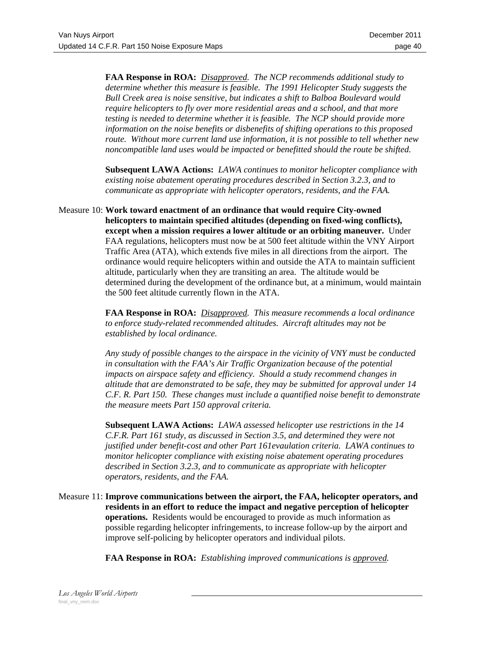**FAA Response in ROA:** *Disapproved. The NCP recommends additional study to determine whether this measure is feasible. The 1991 Helicopter Study suggests the Bull Creek area is noise sensitive, but indicates a shift to Balboa Boulevard would require helicopters to fly over more residential areas and a school, and that more testing is needed to determine whether it is feasible. The NCP should provide more information on the noise benefits or disbenefits of shifting operations to this proposed route. Without more current land use information, it is not possible to tell whether new noncompatible land uses would be impacted or benefitted should the route be shifted.* 

**Subsequent LAWA Actions:** *LAWA continues to monitor helicopter compliance with existing noise abatement operating procedures described in Section 3.2.3, and to communicate as appropriate with helicopter operators, residents, and the FAA.*

Measure 10: **Work toward enactment of an ordinance that would require City-owned helicopters to maintain specified altitudes (depending on fixed-wing conflicts), except when a mission requires a lower altitude or an orbiting maneuver.** Under FAA regulations, helicopters must now be at 500 feet altitude within the VNY Airport Traffic Area (ATA), which extends five miles in all directions from the airport. The ordinance would require helicopters within and outside the ATA to maintain sufficient altitude, particularly when they are transiting an area. The altitude would be determined during the development of the ordinance but, at a minimum, would maintain the 500 feet altitude currently flown in the ATA.

> **FAA Response in ROA:** *Disapproved. This measure recommends a local ordinance to enforce study-related recommended altitudes. Aircraft altitudes may not be established by local ordinance.*

*Any study of possible changes to the airspace in the vicinity of VNY must be conducted in consultation with the FAA's Air Traffic Organization because of the potential impacts on airspace safety and efficiency. Should a study recommend changes in altitude that are demonstrated to be safe, they may be submitted for approval under 14 C.F. R. Part 150. These changes must include a quantified noise benefit to demonstrate the measure meets Part 150 approval criteria.* 

**Subsequent LAWA Actions:** *LAWA assessed helicopter use restrictions in the 14 C.F.R. Part 161 study, as discussed in Section 3.5, and determined they were not justified under benefit-cost and other Part 161evaulation criteria. LAWA continues to monitor helicopter compliance with existing noise abatement operating procedures described in Section 3.2.3, and to communicate as appropriate with helicopter operators, residents, and the FAA.*

Measure 11: **Improve communications between the airport, the FAA, helicopter operators, and residents in an effort to reduce the impact and negative perception of helicopter operations.** Residents would be encouraged to provide as much information as possible regarding helicopter infringements, to increase follow-up by the airport and improve self-policing by helicopter operators and individual pilots.

**FAA Response in ROA:** *Establishing improved communications is approved.*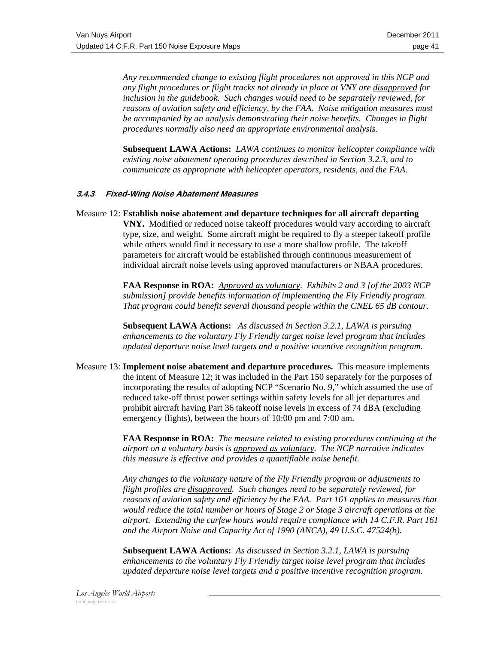*Any recommended change to existing flight procedures not approved in this NCP and any flight procedures or flight tracks not already in place at VNY are disapproved for inclusion in the guidebook. Such changes would need to be separately reviewed, for reasons of aviation safety and efficiency, by the FAA. Noise mitigation measures must be accompanied by an analysis demonstrating their noise benefits. Changes in flight procedures normally also need an appropriate environmental analysis.*

**Subsequent LAWA Actions:** *LAWA continues to monitor helicopter compliance with existing noise abatement operating procedures described in Section 3.2.3, and to communicate as appropriate with helicopter operators, residents, and the FAA.* 

### **3.4.3 Fixed-Wing Noise Abatement Measures**

Measure 12: **Establish noise abatement and departure techniques for all aircraft departing VNY.** Modified or reduced noise takeoff procedures would vary according to aircraft type, size, and weight. Some aircraft might be required to fly a steeper takeoff profile while others would find it necessary to use a more shallow profile. The takeoff parameters for aircraft would be established through continuous measurement of individual aircraft noise levels using approved manufacturers or NBAA procedures.

> **FAA Response in ROA:** *Approved as voluntary*. *Exhibits 2 and 3 [of the 2003 NCP submission] provide benefits information of implementing the Fly Friendly program. That program could benefit several thousand people within the CNEL 65 dB contour.*

**Subsequent LAWA Actions:** *As discussed in Section 3.2.1, LAWA is pursuing enhancements to the voluntary Fly Friendly target noise level program that includes updated departure noise level targets and a positive incentive recognition program.*

Measure 13: **Implement noise abatement and departure procedures.** This measure implements the intent of Measure 12; it was included in the Part 150 separately for the purposes of incorporating the results of adopting NCP "Scenario No. 9," which assumed the use of reduced take-off thrust power settings within safety levels for all jet departures and prohibit aircraft having Part 36 takeoff noise levels in excess of 74 dBA (excluding emergency flights), between the hours of 10:00 pm and 7:00 am.

> **FAA Response in ROA:** *The measure related to existing procedures continuing at the airport on a voluntary basis is approved as voluntary. The NCP narrative indicates this measure is effective and provides a quantifiable noise benefit.*

> *Any changes to the voluntary nature of the Fly Friendly program or adjustments to flight profiles are disapproved. Such changes need to be separately reviewed, for reasons of aviation safety and efficiency by the FAA. Part 161 applies to measures that would reduce the total number or hours of Stage 2 or Stage 3 aircraft operations at the airport. Extending the curfew hours would require compliance with 14 C.F.R. Part 161 and the Airport Noise and Capacity Act of 1990 (ANCA), 49 U.S.C. 47524(b).*

**Subsequent LAWA Actions:** *As discussed in Section 3.2.1, LAWA is pursuing enhancements to the voluntary Fly Friendly target noise level program that includes updated departure noise level targets and a positive incentive recognition program.*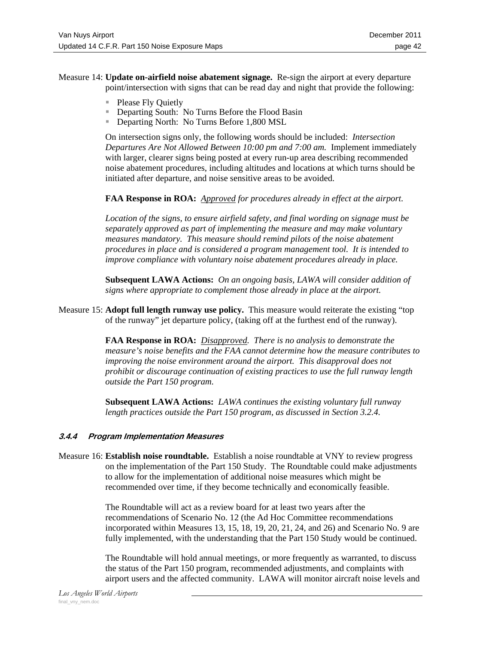- Measure 14: **Update on-airfield noise abatement signage.** Re-sign the airport at every departure point/intersection with signs that can be read day and night that provide the following:
	- **Please Fly Quietly**
	- **Departing South: No Turns Before the Flood Basin**
	- **Departing North: No Turns Before 1,800 MSL**

 On intersection signs only, the following words should be included: *Intersection Departures Are Not Allowed Between 10:00 pm and 7:00 am.* Implement immediately with larger, clearer signs being posted at every run-up area describing recommended noise abatement procedures, including altitudes and locations at which turns should be initiated after departure, and noise sensitive areas to be avoided.

**FAA Response in ROA:** *Approved for procedures already in effect at the airport.* 

*Location of the signs, to ensure airfield safety, and final wording on signage must be separately approved as part of implementing the measure and may make voluntary measures mandatory. This measure should remind pilots of the noise abatement procedures in place and is considered a program management tool. It is intended to improve compliance with voluntary noise abatement procedures already in place.*

**Subsequent LAWA Actions:** *On an ongoing basis, LAWA will consider addition of signs where appropriate to complement those already in place at the airport.*

Measure 15: **Adopt full length runway use policy.** This measure would reiterate the existing "top of the runway" jet departure policy, (taking off at the furthest end of the runway).

> **FAA Response in ROA:** *Disapproved. There is no analysis to demonstrate the measure's noise benefits and the FAA cannot determine how the measure contributes to improving the noise environment around the airport. This disapproval does not prohibit or discourage continuation of existing practices to use the full runway length outside the Part 150 program.*

**Subsequent LAWA Actions:** *LAWA continues the existing voluntary full runway length practices outside the Part 150 program, as discussed in Section 3.2.4.*

### **3.4.4 Program Implementation Measures**

Measure 16: **Establish noise roundtable.** Establish a noise roundtable at VNY to review progress on the implementation of the Part 150 Study. The Roundtable could make adjustments to allow for the implementation of additional noise measures which might be recommended over time, if they become technically and economically feasible.

> The Roundtable will act as a review board for at least two years after the recommendations of Scenario No. 12 (the Ad Hoc Committee recommendations incorporated within Measures 13, 15, 18, 19, 20, 21, 24, and 26) and Scenario No. 9 are fully implemented, with the understanding that the Part 150 Study would be continued.

> The Roundtable will hold annual meetings, or more frequently as warranted, to discuss the status of the Part 150 program, recommended adjustments, and complaints with airport users and the affected community. LAWA will monitor aircraft noise levels and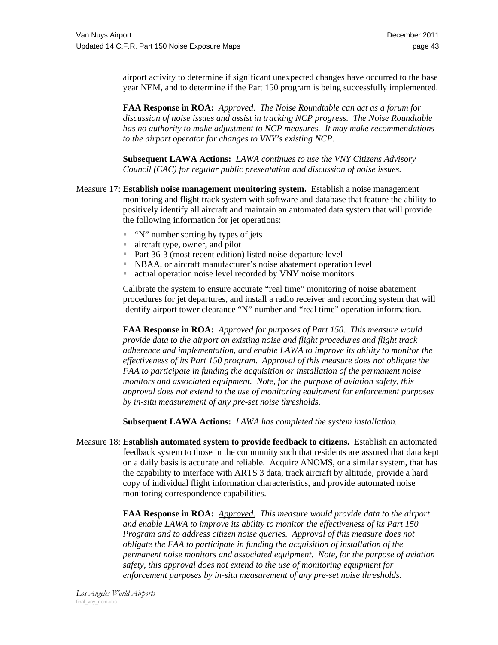airport activity to determine if significant unexpected changes have occurred to the base year NEM, and to determine if the Part 150 program is being successfully implemented.

**FAA Response in ROA:** *Approved. The Noise Roundtable can act as a forum for discussion of noise issues and assist in tracking NCP progress. The Noise Roundtable has no authority to make adjustment to NCP measures. It may make recommendations to the airport operator for changes to VNY's existing NCP.*

**Subsequent LAWA Actions:** *LAWA continues to use the VNY Citizens Advisory Council (CAC) for regular public presentation and discussion of noise issues.*

- Measure 17: **Establish noise management monitoring system.** Establish a noise management monitoring and flight track system with software and database that feature the ability to positively identify all aircraft and maintain an automated data system that will provide the following information for jet operations:
	- $\blacksquare$  "N" number sorting by types of jets
	- aircraft type, owner, and pilot
	- Part  $36-3$  (most recent edition) listed noise departure level
	- NBAA, or aircraft manufacturer's noise abatement operation level
	- actual operation noise level recorded by VNY noise monitors

 Calibrate the system to ensure accurate "real time" monitoring of noise abatement procedures for jet departures, and install a radio receiver and recording system that will identify airport tower clearance "N" number and "real time" operation information.

**FAA Response in ROA:** *Approved for purposes of Part 150. This measure would provide data to the airport on existing noise and flight procedures and flight track adherence and implementation, and enable LAWA to improve its ability to monitor the effectiveness of its Part 150 program. Approval of this measure does not obligate the FAA to participate in funding the acquisition or installation of the permanent noise monitors and associated equipment. Note, for the purpose of aviation safety, this approval does not extend to the use of monitoring equipment for enforcement purposes by in-situ measurement of any pre-set noise thresholds.* 

**Subsequent LAWA Actions:** *LAWA has completed the system installation.*

Measure 18: **Establish automated system to provide feedback to citizens.** Establish an automated feedback system to those in the community such that residents are assured that data kept on a daily basis is accurate and reliable. Acquire ANOMS, or a similar system, that has the capability to interface with ARTS 3 data, track aircraft by altitude, provide a hard copy of individual flight information characteristics, and provide automated noise monitoring correspondence capabilities.

> **FAA Response in ROA:** *Approved. This measure would provide data to the airport and enable LAWA to improve its ability to monitor the effectiveness of its Part 150 Program and to address citizen noise queries. Approval of this measure does not obligate the FAA to participate in funding the acquisition of installation of the permanent noise monitors and associated equipment. Note, for the purpose of aviation safety, this approval does not extend to the use of monitoring equipment for enforcement purposes by in-situ measurement of any pre-set noise thresholds.*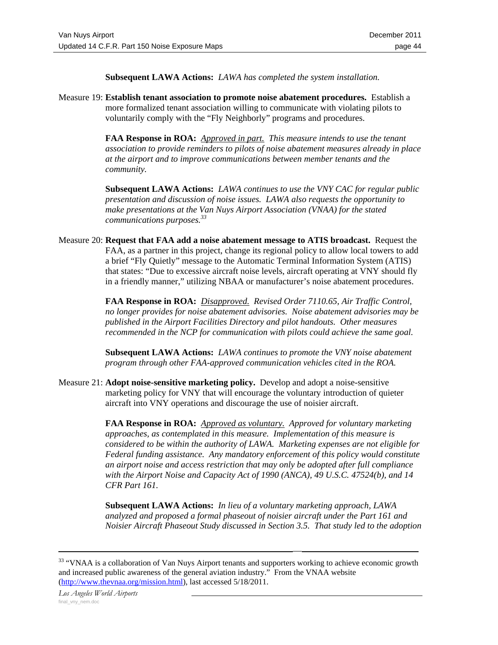**Subsequent LAWA Actions:** *LAWA has completed the system installation.*

Measure 19: **Establish tenant association to promote noise abatement procedures.** Establish a more formalized tenant association willing to communicate with violating pilots to voluntarily comply with the "Fly Neighborly" programs and procedures.

> **FAA Response in ROA:** *Approved in part. This measure intends to use the tenant association to provide reminders to pilots of noise abatement measures already in place at the airport and to improve communications between member tenants and the community.*

> **Subsequent LAWA Actions:** *LAWA continues to use the VNY CAC for regular public presentation and discussion of noise issues. LAWA also requests the opportunity to make presentations at the Van Nuys Airport Association (VNAA) for the stated communications purposes.<sup>33</sup>*

Measure 20: **Request that FAA add a noise abatement message to ATIS broadcast.** Request the FAA, as a partner in this project, change its regional policy to allow local towers to add a brief "Fly Quietly" message to the Automatic Terminal Information System (ATIS) that states: "Due to excessive aircraft noise levels, aircraft operating at VNY should fly in a friendly manner," utilizing NBAA or manufacturer's noise abatement procedures.

> **FAA Response in ROA:** *Disapproved. Revised Order 7110.65, Air Traffic Control, no longer provides for noise abatement advisories. Noise abatement advisories may be published in the Airport Facilities Directory and pilot handouts. Other measures recommended in the NCP for communication with pilots could achieve the same goal.*

**Subsequent LAWA Actions:** *LAWA continues to promote the VNY noise abatement program through other FAA-approved communication vehicles cited in the ROA.*

Measure 21: **Adopt noise-sensitive marketing policy.** Develop and adopt a noise-sensitive marketing policy for VNY that will encourage the voluntary introduction of quieter aircraft into VNY operations and discourage the use of noisier aircraft.

> **FAA Response in ROA:** *Approved as voluntary. Approved for voluntary marketing approaches, as contemplated in this measure. Implementation of this measure is considered to be within the authority of LAWA. Marketing expenses are not eligible for Federal funding assistance. Any mandatory enforcement of this policy would constitute an airport noise and access restriction that may only be adopted after full compliance with the Airport Noise and Capacity Act of 1990 (ANCA), 49 U.S.C. 47524(b), and 14 CFR Part 161.*

> **Subsequent LAWA Actions:** *In lieu of a voluntary marketing approach, LAWA analyzed and proposed a formal phaseout of noisier aircraft under the Part 161 and Noisier Aircraft Phaseout Study discussed in Section 3.5. That study led to the adoption*

<sup>&</sup>lt;sup>33</sup> "VNAA is a collaboration of Van Nuys Airport tenants and supporters working to achieve economic growth and increased public awareness of the general aviation industry." From the VNAA website (http://www.thevnaa.org/mission.html), last accessed 5/18/2011.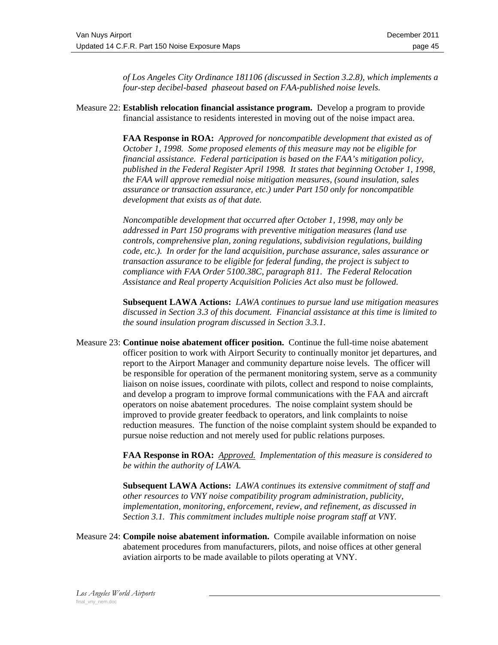*of Los Angeles City Ordinance 181106 (discussed in Section 3.2.8), which implements a four-step decibel-based phaseout based on FAA-published noise levels.*

Measure 22: **Establish relocation financial assistance program.** Develop a program to provide financial assistance to residents interested in moving out of the noise impact area.

> **FAA Response in ROA:** *Approved for noncompatible development that existed as of October 1, 1998. Some proposed elements of this measure may not be eligible for financial assistance. Federal participation is based on the FAA's mitigation policy, published in the Federal Register April 1998. It states that beginning October 1, 1998, the FAA will approve remedial noise mitigation measures, (sound insulation, sales assurance or transaction assurance, etc.) under Part 150 only for noncompatible development that exists as of that date.*

*Noncompatible development that occurred after October 1, 1998, may only be addressed in Part 150 programs with preventive mitigation measures (land use controls, comprehensive plan, zoning regulations, subdivision regulations, building code, etc.). In order for the land acquisition, purchase assurance, sales assurance or transaction assurance to be eligible for federal funding, the project is subject to compliance with FAA Order 5100.38C, paragraph 811. The Federal Relocation Assistance and Real property Acquisition Policies Act also must be followed.*

**Subsequent LAWA Actions:** *LAWA continues to pursue land use mitigation measures discussed in Section 3.3 of this document. Financial assistance at this time is limited to the sound insulation program discussed in Section 3.3.1.*

Measure 23: **Continue noise abatement officer position.** Continue the full-time noise abatement officer position to work with Airport Security to continually monitor jet departures, and report to the Airport Manager and community departure noise levels. The officer will be responsible for operation of the permanent monitoring system, serve as a community liaison on noise issues, coordinate with pilots, collect and respond to noise complaints, and develop a program to improve formal communications with the FAA and aircraft operators on noise abatement procedures. The noise complaint system should be improved to provide greater feedback to operators, and link complaints to noise reduction measures. The function of the noise complaint system should be expanded to pursue noise reduction and not merely used for public relations purposes.

> **FAA Response in ROA:** *Approved. Implementation of this measure is considered to be within the authority of LAWA.*

> **Subsequent LAWA Actions:** *LAWA continues its extensive commitment of staff and other resources to VNY noise compatibility program administration, publicity, implementation, monitoring, enforcement, review, and refinement, as discussed in Section 3.1. This commitment includes multiple noise program staff at VNY.*

Measure 24: **Compile noise abatement information.** Compile available information on noise abatement procedures from manufacturers, pilots, and noise offices at other general aviation airports to be made available to pilots operating at VNY.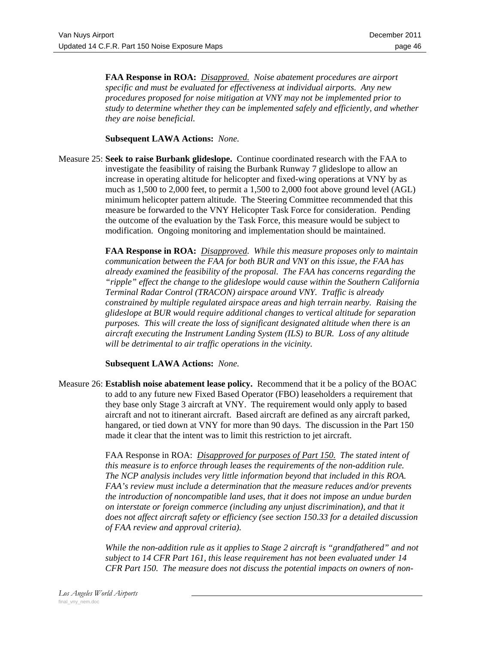**FAA Response in ROA:** *Disapproved. Noise abatement procedures are airport specific and must be evaluated for effectiveness at individual airports. Any new procedures proposed for noise mitigation at VNY may not be implemented prior to study to determine whether they can be implemented safely and efficiently, and whether they are noise beneficial.*

### **Subsequent LAWA Actions:** *None.*

Measure 25: **Seek to raise Burbank glideslope.** Continue coordinated research with the FAA to investigate the feasibility of raising the Burbank Runway 7 glideslope to allow an increase in operating altitude for helicopter and fixed-wing operations at VNY by as much as 1,500 to 2,000 feet, to permit a 1,500 to 2,000 foot above ground level (AGL) minimum helicopter pattern altitude. The Steering Committee recommended that this measure be forwarded to the VNY Helicopter Task Force for consideration. Pending the outcome of the evaluation by the Task Force, this measure would be subject to modification. Ongoing monitoring and implementation should be maintained.

> **FAA Response in ROA:** *Disapproved. While this measure proposes only to maintain communication between the FAA for both BUR and VNY on this issue, the FAA has already examined the feasibility of the proposal. The FAA has concerns regarding the "ripple" effect the change to the glideslope would cause within the Southern California Terminal Radar Control (TRACON) airspace around VNY. Traffic is already constrained by multiple regulated airspace areas and high terrain nearby. Raising the glideslope at BUR would require additional changes to vertical altitude for separation purposes. This will create the loss of significant designated altitude when there is an aircraft executing the Instrument Landing System (ILS) to BUR. Loss of any altitude will be detrimental to air traffic operations in the vicinity.*

### **Subsequent LAWA Actions:** *None.*

Measure 26: **Establish noise abatement lease policy.** Recommend that it be a policy of the BOAC to add to any future new Fixed Based Operator (FBO) leaseholders a requirement that they base only Stage 3 aircraft at VNY. The requirement would only apply to based aircraft and not to itinerant aircraft. Based aircraft are defined as any aircraft parked, hangared, or tied down at VNY for more than 90 days. The discussion in the Part 150 made it clear that the intent was to limit this restriction to jet aircraft.

> FAA Response in ROA: *Disapproved for purposes of Part 150. The stated intent of this measure is to enforce through leases the requirements of the non-addition rule. The NCP analysis includes very little information beyond that included in this ROA. FAA's review must include a determination that the measure reduces and/or prevents the introduction of noncompatible land uses, that it does not impose an undue burden on interstate or foreign commerce (including any unjust discrimination), and that it does not affect aircraft safety or efficiency (see section 150.33 for a detailed discussion of FAA review and approval criteria).*

> *While the non-addition rule as it applies to Stage 2 aircraft is "grandfathered" and not subject to 14 CFR Part 161, this lease requirement has not been evaluated under 14 CFR Part 150. The measure does not discuss the potential impacts on owners of non-*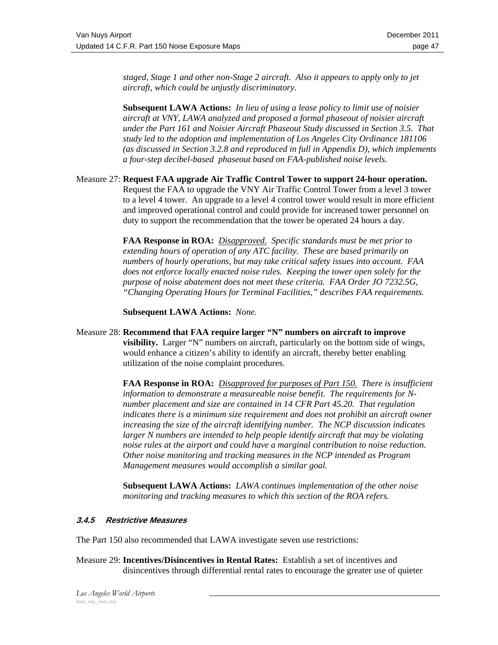*staged, Stage 1 and other non-Stage 2 aircraft. Also it appears to apply only to jet aircraft, which could be unjustly discriminatory.* 

**Subsequent LAWA Actions:** *In lieu of using a lease policy to limit use of noisier aircraft at VNY, LAWA analyzed and proposed a formal phaseout of noisier aircraft under the Part 161 and Noisier Aircraft Phaseout Study discussed in Section 3.5. That study led to the adoption and implementation of Los Angeles City Ordinance 181106 (as discussed in Section 3.2.8 and reproduced in full in Appendix D), which implements a four-step decibel-based phaseout based on FAA-published noise levels.*

### Measure 27: **Request FAA upgrade Air Traffic Control Tower to support 24-hour operation.**  Request the FAA to upgrade the VNY Air Traffic Control Tower from a level 3 tower to a level 4 tower. An upgrade to a level 4 control tower would result in more efficient and improved operational control and could provide for increased tower personnel on duty to support the recommendation that the tower be operated 24 hours a day.

**FAA Response in ROA:** *Disapproved. Specific standards must be met prior to extending hours of operation of any ATC facility. These are based primarily on numbers of hourly operations, but may take critical safety issues into account. FAA does not enforce locally enacted noise rules. Keeping the tower open solely for the purpose of noise abatement does not meet these criteria. FAA Order JO 7232.5G, "Changing Operating Hours for Terminal Facilities," describes FAA requirements.* 

### **Subsequent LAWA Actions:** *None.*

Measure 28: **Recommend that FAA require larger "N" numbers on aircraft to improve visibility.** Larger "N" numbers on aircraft, particularly on the bottom side of wings, would enhance a citizen's ability to identify an aircraft, thereby better enabling utilization of the noise complaint procedures.

> **FAA Response in ROA:** *Disapproved for purposes of Part 150. There is insufficient information to demonstrate a measureable noise benefit. The requirements for Nnumber placement and size are contained in 14 CFR Part 45.20. That regulation indicates there is a minimum size requirement and does not prohibit an aircraft owner increasing the size of the aircraft identifying number. The NCP discussion indicates larger N numbers are intended to help people identify aircraft that may be violating noise rules at the airport and could have a marginal contribution to noise reduction. Other noise monitoring and tracking measures in the NCP intended as Program Management measures would accomplish a similar goal.*

**Subsequent LAWA Actions:** *LAWA continues implementation of the other noise monitoring and tracking measures to which this section of the ROA refers.*

### **3.4.5 Restrictive Measures**

The Part 150 also recommended that LAWA investigate seven use restrictions:

Measure 29: **Incentives/Disincentives in Rental Rates:** Establish a set of incentives and disincentives through differential rental rates to encourage the greater use of quieter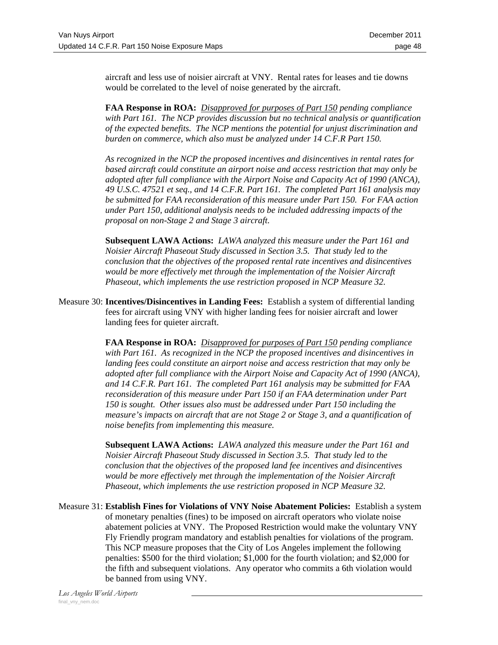aircraft and less use of noisier aircraft at VNY. Rental rates for leases and tie downs would be correlated to the level of noise generated by the aircraft.

**FAA Response in ROA:** *Disapproved for purposes of Part 150 pending compliance with Part 161. The NCP provides discussion but no technical analysis or quantification of the expected benefits. The NCP mentions the potential for unjust discrimination and burden on commerce, which also must be analyzed under 14 C.F.R Part 150.* 

*As recognized in the NCP the proposed incentives and disincentives in rental rates for based aircraft could constitute an airport noise and access restriction that may only be adopted after full compliance with the Airport Noise and Capacity Act of 1990 (ANCA), 49 U.S.C. 47521 et seq., and 14 C.F.R. Part 161. The completed Part 161 analysis may be submitted for FAA reconsideration of this measure under Part 150. For FAA action under Part 150, additional analysis needs to be included addressing impacts of the proposal on non-Stage 2 and Stage 3 aircraft.*

**Subsequent LAWA Actions:** *LAWA analyzed this measure under the Part 161 and Noisier Aircraft Phaseout Study discussed in Section 3.5. That study led to the conclusion that the objectives of the proposed rental rate incentives and disincentives would be more effectively met through the implementation of the Noisier Aircraft Phaseout, which implements the use restriction proposed in NCP Measure 32.*

Measure 30: **Incentives/Disincentives in Landing Fees:** Establish a system of differential landing fees for aircraft using VNY with higher landing fees for noisier aircraft and lower landing fees for quieter aircraft.

> **FAA Response in ROA:** *Disapproved for purposes of Part 150 pending compliance with Part 161. As recognized in the NCP the proposed incentives and disincentives in landing fees could constitute an airport noise and access restriction that may only be adopted after full compliance with the Airport Noise and Capacity Act of 1990 (ANCA), and 14 C.F.R. Part 161. The completed Part 161 analysis may be submitted for FAA reconsideration of this measure under Part 150 if an FAA determination under Part 150 is sought. Other issues also must be addressed under Part 150 including the measure's impacts on aircraft that are not Stage 2 or Stage 3, and a quantification of noise benefits from implementing this measure.*

**Subsequent LAWA Actions:** *LAWA analyzed this measure under the Part 161 and Noisier Aircraft Phaseout Study discussed in Section 3.5. That study led to the conclusion that the objectives of the proposed land fee incentives and disincentives would be more effectively met through the implementation of the Noisier Aircraft Phaseout, which implements the use restriction proposed in NCP Measure 32.*

Measure 31: **Establish Fines for Violations of VNY Noise Abatement Policies:** Establish a system of monetary penalties (fines) to be imposed on aircraft operators who violate noise abatement policies at VNY. The Proposed Restriction would make the voluntary VNY Fly Friendly program mandatory and establish penalties for violations of the program. This NCP measure proposes that the City of Los Angeles implement the following penalties: \$500 for the third violation; \$1,000 for the fourth violation; and \$2,000 for the fifth and subsequent violations. Any operator who commits a 6th violation would be banned from using VNY.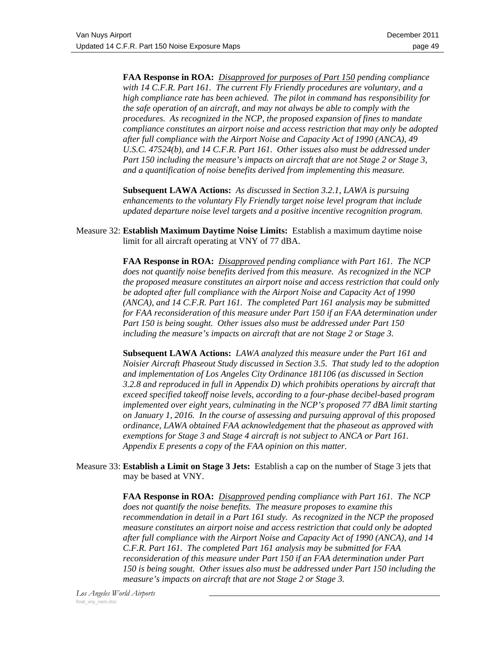**FAA Response in ROA:** *Disapproved for purposes of Part 150 pending compliance with 14 C.F.R. Part 161. The current Fly Friendly procedures are voluntary, and a high compliance rate has been achieved. The pilot in command has responsibility for the safe operation of an aircraft, and may not always be able to comply with the procedures. As recognized in the NCP, the proposed expansion of fines to mandate compliance constitutes an airport noise and access restriction that may only be adopted after full compliance with the Airport Noise and Capacity Act of 1990 (ANCA), 49*  U.S.C. 47524(b), and 14 C.F.R. Part 161. Other issues also must be addressed under *Part 150 including the measure's impacts on aircraft that are not Stage 2 or Stage 3, and a quantification of noise benefits derived from implementing this measure.*

**Subsequent LAWA Actions:** *As discussed in Section 3.2.1, LAWA is pursuing enhancements to the voluntary Fly Friendly target noise level program that include updated departure noise level targets and a positive incentive recognition program.*

Measure 32: **Establish Maximum Daytime Noise Limits:** Establish a maximum daytime noise limit for all aircraft operating at VNY of 77 dBA.

> **FAA Response in ROA:** *Disapproved pending compliance with Part 161. The NCP does not quantify noise benefits derived from this measure. As recognized in the NCP the proposed measure constitutes an airport noise and access restriction that could only be adopted after full compliance with the Airport Noise and Capacity Act of 1990 (ANCA), and 14 C.F.R. Part 161. The completed Part 161 analysis may be submitted for FAA reconsideration of this measure under Part 150 if an FAA determination under Part 150 is being sought. Other issues also must be addressed under Part 150 including the measure's impacts on aircraft that are not Stage 2 or Stage 3.*

> **Subsequent LAWA Actions:** *LAWA analyzed this measure under the Part 161 and Noisier Aircraft Phaseout Study discussed in Section 3.5. That study led to the adoption and implementation of Los Angeles City Ordinance 181106 (as discussed in Section 3.2.8 and reproduced in full in Appendix D) which prohibits operations by aircraft that exceed specified takeoff noise levels, according to a four-phase decibel-based program implemented over eight years, culminating in the NCP's proposed 77 dBA limit starting on January 1, 2016. In the course of assessing and pursuing approval of this proposed ordinance, LAWA obtained FAA acknowledgement that the phaseout as approved with exemptions for Stage 3 and Stage 4 aircraft is not subject to ANCA or Part 161. Appendix E presents a copy of the FAA opinion on this matter.*

Measure 33: **Establish a Limit on Stage 3 Jets:** Establish a cap on the number of Stage 3 jets that may be based at VNY.

> **FAA Response in ROA:** *Disapproved pending compliance with Part 161. The NCP does not quantify the noise benefits. The measure proposes to examine this recommendation in detail in a Part 161 study. As recognized in the NCP the proposed measure constitutes an airport noise and access restriction that could only be adopted after full compliance with the Airport Noise and Capacity Act of 1990 (ANCA), and 14 C.F.R. Part 161. The completed Part 161 analysis may be submitted for FAA reconsideration of this measure under Part 150 if an FAA determination under Part 150 is being sought. Other issues also must be addressed under Part 150 including the measure's impacts on aircraft that are not Stage 2 or Stage 3.*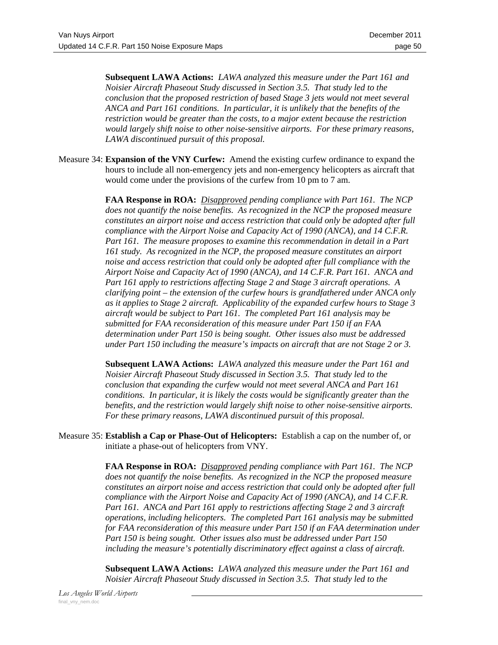**Subsequent LAWA Actions:** *LAWA analyzed this measure under the Part 161 and Noisier Aircraft Phaseout Study discussed in Section 3.5. That study led to the conclusion that the proposed restriction of based Stage 3 jets would not meet several ANCA and Part 161 conditions. In particular, it is unlikely that the benefits of the restriction would be greater than the costs, to a major extent because the restriction would largely shift noise to other noise-sensitive airports. For these primary reasons, LAWA discontinued pursuit of this proposal.*

Measure 34: **Expansion of the VNY Curfew:** Amend the existing curfew ordinance to expand the hours to include all non-emergency jets and non-emergency helicopters as aircraft that would come under the provisions of the curfew from 10 pm to 7 am.

> **FAA Response in ROA:** *Disapproved pending compliance with Part 161. The NCP does not quantify the noise benefits. As recognized in the NCP the proposed measure constitutes an airport noise and access restriction that could only be adopted after full compliance with the Airport Noise and Capacity Act of 1990 (ANCA), and 14 C.F.R. Part 161. The measure proposes to examine this recommendation in detail in a Part 161 study. As recognized in the NCP, the proposed measure constitutes an airport noise and access restriction that could only be adopted after full compliance with the Airport Noise and Capacity Act of 1990 (ANCA), and 14 C.F.R. Part 161. ANCA and Part 161 apply to restrictions affecting Stage 2 and Stage 3 aircraft operations. A clarifying point – the extension of the curfew hours is grandfathered under ANCA only as it applies to Stage 2 aircraft. Applicability of the expanded curfew hours to Stage 3 aircraft would be subject to Part 161. The completed Part 161 analysis may be submitted for FAA reconsideration of this measure under Part 150 if an FAA determination under Part 150 is being sought. Other issues also must be addressed under Part 150 including the measure's impacts on aircraft that are not Stage 2 or 3.*

**Subsequent LAWA Actions:** *LAWA analyzed this measure under the Part 161 and Noisier Aircraft Phaseout Study discussed in Section 3.5. That study led to the conclusion that expanding the curfew would not meet several ANCA and Part 161 conditions. In particular, it is likely the costs would be significantly greater than the benefits, and the restriction would largely shift noise to other noise-sensitive airports. For these primary reasons, LAWA discontinued pursuit of this proposal.*

Measure 35: **Establish a Cap or Phase-Out of Helicopters:** Establish a cap on the number of, or initiate a phase-out of helicopters from VNY.

> **FAA Response in ROA:** *Disapproved pending compliance with Part 161. The NCP does not quantify the noise benefits. As recognized in the NCP the proposed measure constitutes an airport noise and access restriction that could only be adopted after full compliance with the Airport Noise and Capacity Act of 1990 (ANCA), and 14 C.F.R. Part 161. ANCA and Part 161 apply to restrictions affecting Stage 2 and 3 aircraft operations, including helicopters. The completed Part 161 analysis may be submitted for FAA reconsideration of this measure under Part 150 if an FAA determination under Part 150 is being sought. Other issues also must be addressed under Part 150 including the measure's potentially discriminatory effect against a class of aircraft.*

**Subsequent LAWA Actions:** *LAWA analyzed this measure under the Part 161 and Noisier Aircraft Phaseout Study discussed in Section 3.5. That study led to the*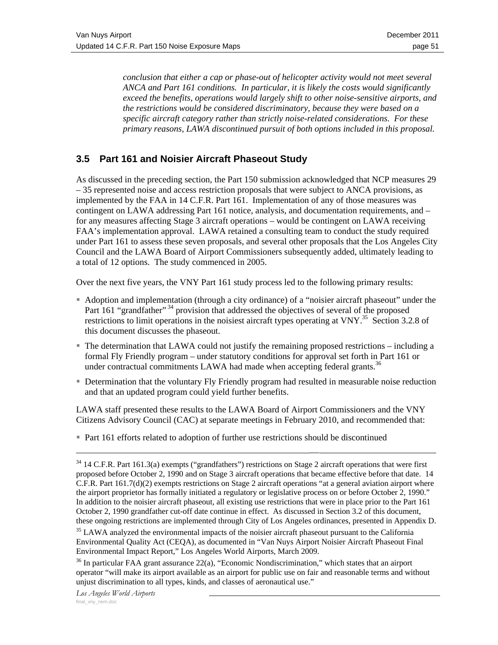*conclusion that either a cap or phase-out of helicopter activity would not meet several ANCA and Part 161 conditions. In particular, it is likely the costs would significantly exceed the benefits, operations would largely shift to other noise-sensitive airports, and the restrictions would be considered discriminatory, because they were based on a specific aircraft category rather than strictly noise-related considerations. For these primary reasons, LAWA discontinued pursuit of both options included in this proposal.*

# **3.5 Part 161 and Noisier Aircraft Phaseout Study**

As discussed in the preceding section, the Part 150 submission acknowledged that NCP measures 29 – 35 represented noise and access restriction proposals that were subject to ANCA provisions, as implemented by the FAA in 14 C.F.R. Part 161. Implementation of any of those measures was contingent on LAWA addressing Part 161 notice, analysis, and documentation requirements, and – for any measures affecting Stage 3 aircraft operations – would be contingent on LAWA receiving FAA's implementation approval. LAWA retained a consulting team to conduct the study required under Part 161 to assess these seven proposals, and several other proposals that the Los Angeles City Council and the LAWA Board of Airport Commissioners subsequently added, ultimately leading to a total of 12 options. The study commenced in 2005.

Over the next five years, the VNY Part 161 study process led to the following primary results:

- Adoption and implementation (through a city ordinance) of a "noisier aircraft phaseout" under the Part 161 "grandfather"<sup>34</sup> provision that addressed the objectives of several of the proposed restrictions to limit operations in the noisiest aircraft types operating at VNY.<sup>35</sup> Section 3.2.8 of this document discusses the phaseout.
- The determination that LAWA could not justify the remaining proposed restrictions including a formal Fly Friendly program – under statutory conditions for approval set forth in Part 161 or under contractual commitments LAWA had made when accepting federal grants.<sup>36</sup>
- Determination that the voluntary Fly Friendly program had resulted in measurable noise reduction and that an updated program could yield further benefits.

LAWA staff presented these results to the LAWA Board of Airport Commissioners and the VNY Citizens Advisory Council (CAC) at separate meetings in February 2010, and recommended that:

Part 161 efforts related to adoption of further use restrictions should be discontinued

 $34$  14 C.F.R. Part 161.3(a) exempts ("grandfathers") restrictions on Stage 2 aircraft operations that were first proposed before October 2, 1990 and on Stage 3 aircraft operations that became effective before that date. 14 C.F.R. Part 161.7(d)(2) exempts restrictions on Stage 2 aircraft operations "at a general aviation airport where the airport proprietor has formally initiated a regulatory or legislative process on or before October 2, 1990." In addition to the noisier aircraft phaseout, all existing use restrictions that were in place prior to the Part 161 October 2, 1990 grandfather cut-off date continue in effect. As discussed in Section 3.2 of this document, these ongoing restrictions are implemented through City of Los Angeles ordinances, presented in Appendix D.

<sup>&</sup>lt;sup>35</sup> LAWA analyzed the environmental impacts of the noisier aircraft phaseout pursuant to the California Environmental Quality Act (CEQA), as documented in "Van Nuys Airport Noisier Aircraft Phaseout Final Environmental Impact Report," Los Angeles World Airports, March 2009.

 $36$  In particular FAA grant assurance  $22(a)$ , "Economic Nondiscrimination," which states that an airport operator "will make its airport available as an airport for public use on fair and reasonable terms and without unjust discrimination to all types, kinds, and classes of aeronautical use."